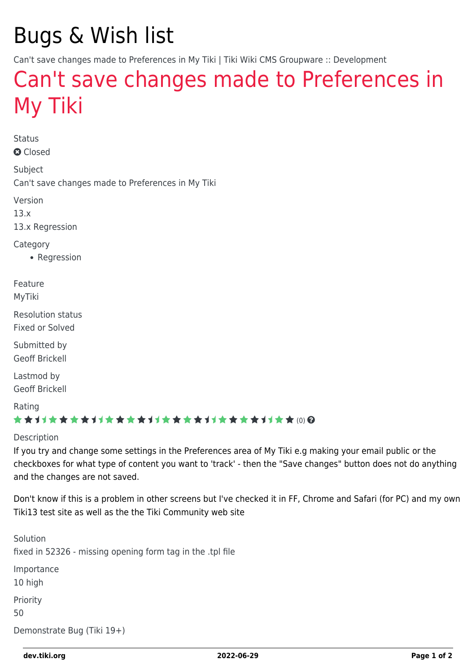# Bugs & Wish list

Can't save changes made to Preferences in My Tiki | Tiki Wiki CMS Groupware :: Development

## [Can't save changes made to Preferences in](https://dev.tiki.org/item5424-Can-t-save-changes-made-to-Preferences-in-My-Tiki) [My Tiki](https://dev.tiki.org/item5424-Can-t-save-changes-made-to-Preferences-in-My-Tiki)

Status **a** Closed

Subject

Can't save changes made to Preferences in My Tiki

Version

13.x

13.x Regression

**Category** 

• Regression

Feature MyTiki

Resolution status Fixed or Solved

Submitted by Geoff Brickell

Lastmod by Geoff Brickell

Rating

#### ★★11★★★★11★★★★11★★★★11★★★★+11★★ (0) @

Description

If you try and change some settings in the Preferences area of My Tiki e.g making your email public or the checkboxes for what type of content you want to 'track' - then the "Save changes" button does not do anything and the changes are not saved.

Don't know if this is a problem in other screens but I've checked it in FF, Chrome and Safari (for PC) and my own Tiki13 test site as well as the the Tiki Community web site

Solution fixed in 52326 - missing opening form tag in the .tpl file Importance 10 high Priority 50 Demonstrate Bug (Tiki 19+)